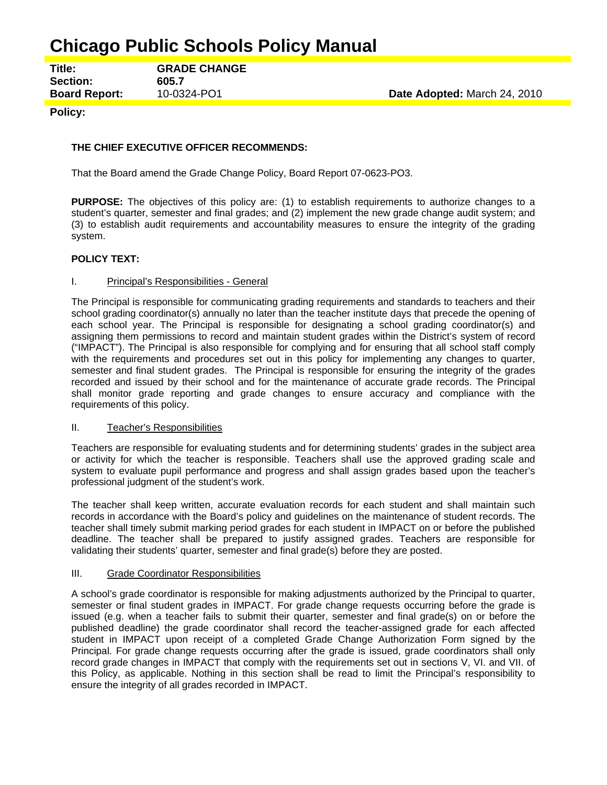# **Chicago Public Schools Policy Manual**

**Title: GRADE CHANGE Section: 605.7 Board Report:** 10-0324-PO1 **Date Adopted:** March 24, 2010

# **Policy:**

# **THE CHIEF EXECUTIVE OFFICER RECOMMENDS:**

That the Board amend the Grade Change Policy, Board Report 07-0623-PO3.

**PURPOSE:** The objectives of this policy are: (1) to establish requirements to authorize changes to a student's quarter, semester and final grades; and (2) implement the new grade change audit system; and (3) to establish audit requirements and accountability measures to ensure the integrity of the grading system.

## **POLICY TEXT:**

## I. Principal's Responsibilities - General

The Principal is responsible for communicating grading requirements and standards to teachers and their school grading coordinator(s) annually no later than the teacher institute days that precede the opening of each school year. The Principal is responsible for designating a school grading coordinator(s) and assigning them permissions to record and maintain student grades within the District's system of record ("IMPACT"). The Principal is also responsible for complying and for ensuring that all school staff comply with the requirements and procedures set out in this policy for implementing any changes to quarter, semester and final student grades. The Principal is responsible for ensuring the integrity of the grades recorded and issued by their school and for the maintenance of accurate grade records. The Principal shall monitor grade reporting and grade changes to ensure accuracy and compliance with the requirements of this policy.

## II. Teacher's Responsibilities

Teachers are responsible for evaluating students and for determining students' grades in the subject area or activity for which the teacher is responsible. Teachers shall use the approved grading scale and system to evaluate pupil performance and progress and shall assign grades based upon the teacher's professional judgment of the student's work.

The teacher shall keep written, accurate evaluation records for each student and shall maintain such records in accordance with the Board's policy and guidelines on the maintenance of student records. The teacher shall timely submit marking period grades for each student in IMPACT on or before the published deadline. The teacher shall be prepared to justify assigned grades. Teachers are responsible for validating their students' quarter, semester and final grade(s) before they are posted.

## III. Grade Coordinator Responsibilities

A school's grade coordinator is responsible for making adjustments authorized by the Principal to quarter, semester or final student grades in IMPACT. For grade change requests occurring before the grade is issued (e.g. when a teacher fails to submit their quarter, semester and final grade(s) on or before the published deadline) the grade coordinator shall record the teacher-assigned grade for each affected student in IMPACT upon receipt of a completed Grade Change Authorization Form signed by the Principal. For grade change requests occurring after the grade is issued, grade coordinators shall only record grade changes in IMPACT that comply with the requirements set out in sections V, VI. and VII. of this Policy, as applicable. Nothing in this section shall be read to limit the Principal's responsibility to ensure the integrity of all grades recorded in IMPACT.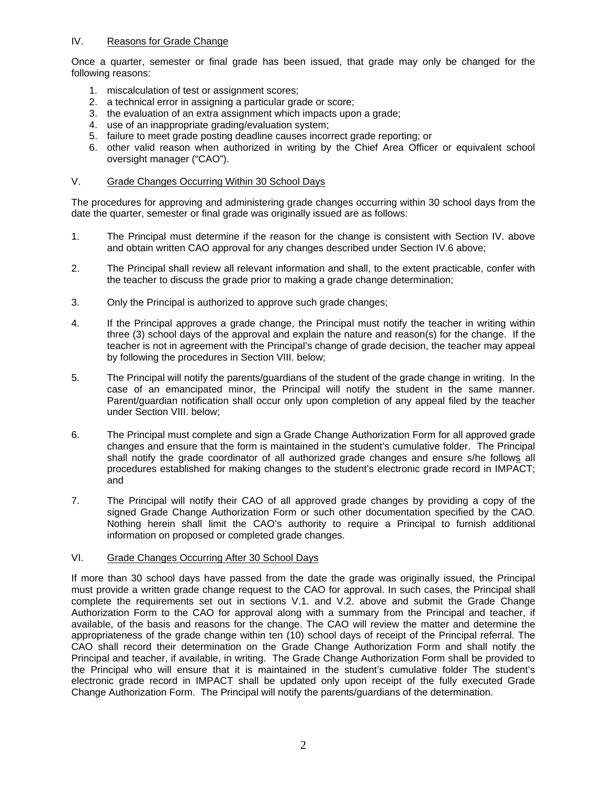# IV. Reasons for Grade Change

Once a quarter, semester or final grade has been issued, that grade may only be changed for the following reasons:

- 1. miscalculation of test or assignment scores;
- 2. a technical error in assigning a particular grade or score;
- 3. the evaluation of an extra assignment which impacts upon a grade;
- 4. use of an inappropriate grading/evaluation system;
- 5. failure to meet grade posting deadline causes incorrect grade reporting; or
- 6. other valid reason when authorized in writing by the Chief Area Officer or equivalent school oversight manager ("CAO").

# V. Grade Changes Occurring Within 30 School Days

The procedures for approving and administering grade changes occurring within 30 school days from the date the quarter, semester or final grade was originally issued are as follows:

- 1. The Principal must determine if the reason for the change is consistent with Section IV. above and obtain written CAO approval for any changes described under Section IV.6 above;
- 2. The Principal shall review all relevant information and shall, to the extent practicable, confer with the teacher to discuss the grade prior to making a grade change determination;
- 3. Only the Principal is authorized to approve such grade changes;
- 4. If the Principal approves a grade change, the Principal must notify the teacher in writing within three (3) school days of the approval and explain the nature and reason(s) for the change. If the teacher is not in agreement with the Principal's change of grade decision, the teacher may appeal by following the procedures in Section VIII. below;
- 5. The Principal will notify the parents/guardians of the student of the grade change in writing. In the case of an emancipated minor, the Principal will notify the student in the same manner. Parent/guardian notification shall occur only upon completion of any appeal filed by the teacher under Section VIII. below;
- 6. The Principal must complete and sign a Grade Change Authorization Form for all approved grade changes and ensure that the form is maintained in the student's cumulative folder. The Principal shall notify the grade coordinator of all authorized grade changes and ensure s/he follows all procedures established for making changes to the student's electronic grade record in IMPACT; and
- 7. The Principal will notify their CAO of all approved grade changes by providing a copy of the signed Grade Change Authorization Form or such other documentation specified by the CAO. Nothing herein shall limit the CAO's authority to require a Principal to furnish additional information on proposed or completed grade changes.

## VI. Grade Changes Occurring After 30 School Days

If more than 30 school days have passed from the date the grade was originally issued, the Principal must provide a written grade change request to the CAO for approval. In such cases, the Principal shall complete the requirements set out in sections V.1. and V.2. above and submit the Grade Change Authorization Form to the CAO for approval along with a summary from the Principal and teacher, if available, of the basis and reasons for the change. The CAO will review the matter and determine the appropriateness of the grade change within ten (10) school days of receipt of the Principal referral. The CAO shall record their determination on the Grade Change Authorization Form and shall notify the Principal and teacher, if available, in writing. The Grade Change Authorization Form shall be provided to the Principal who will ensure that it is maintained in the student's cumulative folder The student's electronic grade record in IMPACT shall be updated only upon receipt of the fully executed Grade Change Authorization Form. The Principal will notify the parents/guardians of the determination.